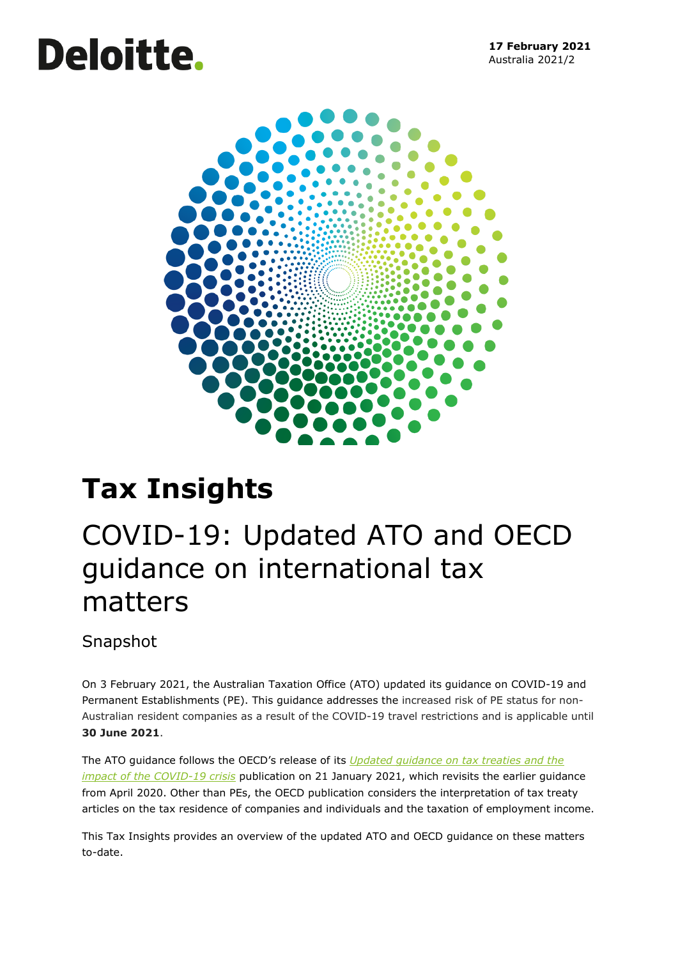# **Deloitte.**



# **Tax Insights**

# COVID-19: Updated ATO and OECD guidance on international tax matters

# Snapshot

On 3 February 2021, the Australian Taxation Office (ATO) updated its guidance on COVID-19 and Permanent Establishments (PE). This guidance addresses the increased risk of PE status for non-Australian resident companies as a result of the COVID-19 travel restrictions and is applicable until **30 June 2021**.

The ATO guidance follows the OECD's release of its *[Updated guidance on tax treaties and the](http://www.oecd.org/tax/treaties/guidance-tax-treaties-and-the-impact-of-the-covid-19-crisis.htm)  [impact of the COVID-19 crisis](http://www.oecd.org/tax/treaties/guidance-tax-treaties-and-the-impact-of-the-covid-19-crisis.htm)* publication on 21 January 2021, which revisits the earlier guidance from April 2020. Other than PEs, the OECD publication considers the interpretation of tax treaty articles on the tax residence of companies and individuals and the taxation of employment income.

This Tax Insights provides an overview of the updated ATO and OECD guidance on these matters to-date.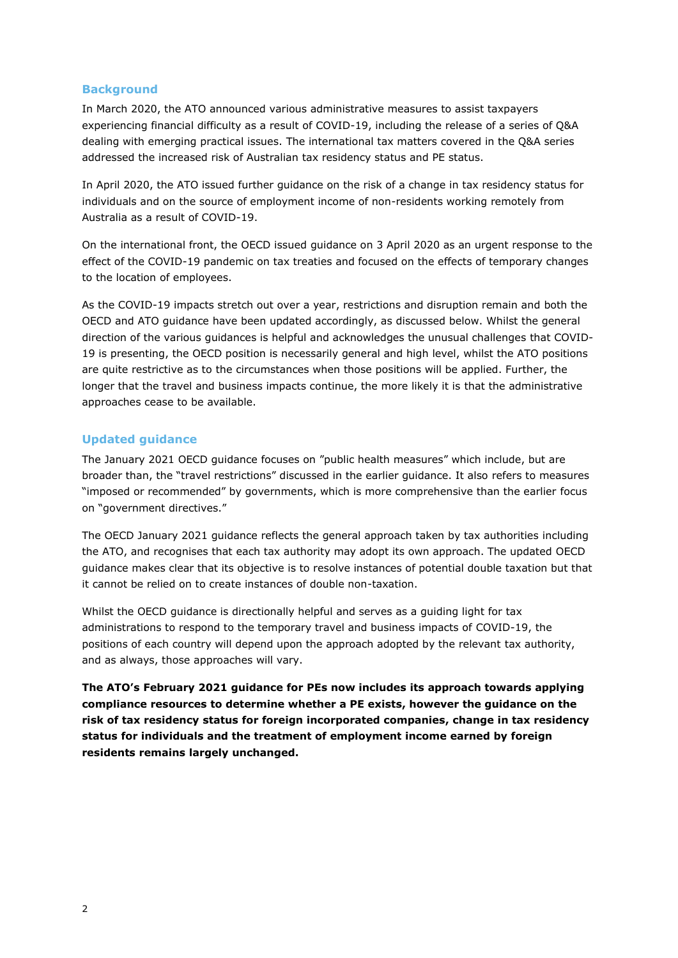# **Background**

In March 2020, the ATO announced various administrative measures to assist taxpayers experiencing financial difficulty as a result of COVID-19, including the release of a series of Q&A dealing with emerging practical issues. The international tax matters covered in the Q&A series addressed the increased risk of Australian tax residency status and PE status.

In April 2020, the ATO issued further guidance on the risk of a change in tax residency status for individuals and on the source of employment income of non-residents working remotely from Australia as a result of COVID-19.

On the international front, the OECD issued guidance on 3 April 2020 as an urgent response to the effect of the COVID-19 pandemic on tax treaties and focused on the effects of temporary changes to the location of employees.

As the COVID-19 impacts stretch out over a year, restrictions and disruption remain and both the OECD and ATO guidance have been updated accordingly, as discussed below. Whilst the general direction of the various guidances is helpful and acknowledges the unusual challenges that COVID-19 is presenting, the OECD position is necessarily general and high level, whilst the ATO positions are quite restrictive as to the circumstances when those positions will be applied. Further, the longer that the travel and business impacts continue, the more likely it is that the administrative approaches cease to be available.

# **Updated guidance**

The January 2021 OECD guidance focuses on "public health measures" which include, but are broader than, the "travel restrictions" discussed in the earlier guidance. It also refers to measures "imposed or recommended" by governments, which is more comprehensive than the earlier focus on "government directives."

The OECD January 2021 guidance reflects the general approach taken by tax authorities including the ATO, and recognises that each tax authority may adopt its own approach. The updated OECD guidance makes clear that its objective is to resolve instances of potential double taxation but that it cannot be relied on to create instances of double non-taxation.

Whilst the OECD guidance is directionally helpful and serves as a guiding light for tax administrations to respond to the temporary travel and business impacts of COVID-19, the positions of each country will depend upon the approach adopted by the relevant tax authority, and as always, those approaches will vary.

**The ATO's February 2021 guidance for PEs now includes its approach towards applying compliance resources to determine whether a PE exists, however the guidance on the risk of tax residency status for foreign incorporated companies, change in tax residency status for individuals and the treatment of employment income earned by foreign residents remains largely unchanged.**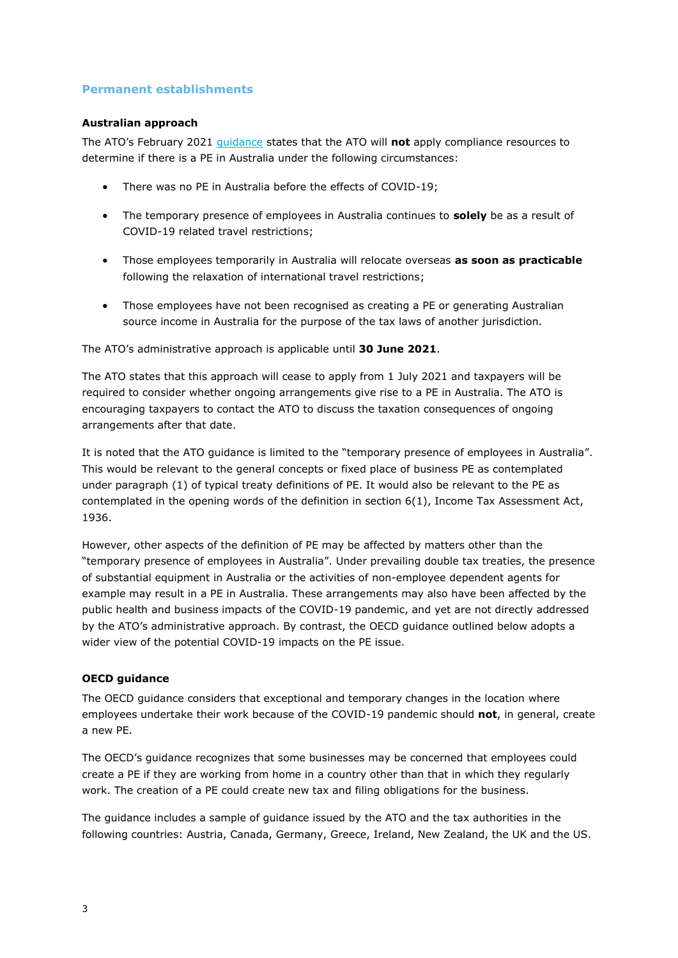# **Permanent establishments**

# **Australian approach**

The ATO's February 2021 [guidance](https://www.ato.gov.au/Business/Business-bulletins-newsroom/International/COVID-19-and-permanent-establishments/) states that the ATO will **not** apply compliance resources to determine if there is a PE in Australia under the following circumstances:

- There was no PE in Australia before the effects of COVID-19;
- The temporary presence of employees in Australia continues to **solely** be as a result of COVID-19 related travel restrictions;
- Those employees temporarily in Australia will relocate overseas **as soon as practicable** following the relaxation of international travel restrictions;
- Those employees have not been recognised as creating a PE or generating Australian source income in Australia for the purpose of the tax laws of another jurisdiction.

The ATO's administrative approach is applicable until **30 June 2021**.

The ATO states that this approach will cease to apply from 1 July 2021 and taxpayers will be required to consider whether ongoing arrangements give rise to a PE in Australia. The ATO is encouraging taxpayers to contact the ATO to discuss the taxation consequences of ongoing arrangements after that date.

It is noted that the ATO guidance is limited to the "temporary presence of employees in Australia". This would be relevant to the general concepts or fixed place of business PE as contemplated under paragraph (1) of typical treaty definitions of PE. It would also be relevant to the PE as contemplated in the opening words of the definition in section 6(1), Income Tax Assessment Act, 1936.

However, other aspects of the definition of PE may be affected by matters other than the "temporary presence of employees in Australia". Under prevailing double tax treaties, the presence of substantial equipment in Australia or the activities of non-employee dependent agents for example may result in a PE in Australia. These arrangements may also have been affected by the public health and business impacts of the COVID-19 pandemic, and yet are not directly addressed by the ATO's administrative approach. By contrast, the OECD guidance outlined below adopts a wider view of the potential COVID-19 impacts on the PE issue.

# **OECD guidance**

The OECD guidance considers that exceptional and temporary changes in the location where employees undertake their work because of the COVID-19 pandemic should **not**, in general, create a new PE.

The OECD's guidance recognizes that some businesses may be concerned that employees could create a PE if they are working from home in a country other than that in which they regularly work. The creation of a PE could create new tax and filing obligations for the business.

The guidance includes a sample of guidance issued by the ATO and the tax authorities in the following countries: Austria, Canada, Germany, Greece, Ireland, New Zealand, the UK and the US.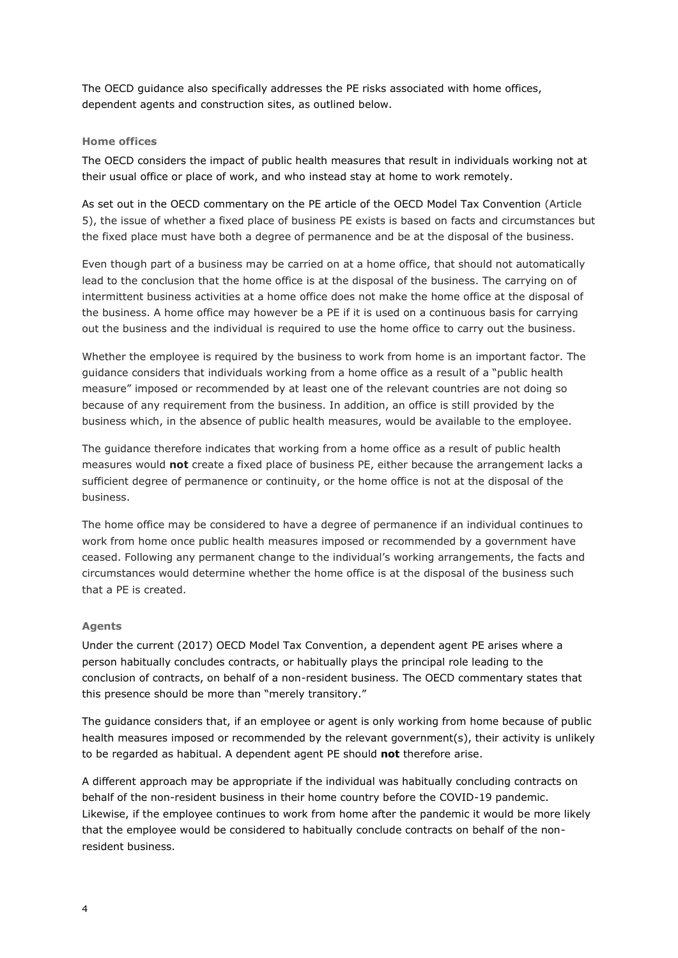The OECD guidance also specifically addresses the PE risks associated with home offices, dependent agents and construction sites, as outlined below.

# **Home offices**

The OECD considers the impact of public health measures that result in individuals working not at their usual office or place of work, and who instead stay at home to work remotely.

As set out in the OECD commentary on the PE article of the OECD Model Tax Convention (Article 5), the issue of whether a fixed place of business PE exists is based on facts and circumstances but the fixed place must have both a degree of permanence and be at the disposal of the business.

Even though part of a business may be carried on at a home office, that should not automatically lead to the conclusion that the home office is at the disposal of the business. The carrying on of intermittent business activities at a home office does not make the home office at the disposal of the business. A home office may however be a PE if it is used on a continuous basis for carrying out the business and the individual is required to use the home office to carry out the business.

Whether the employee is required by the business to work from home is an important factor. The guidance considers that individuals working from a home office as a result of a "public health measure" imposed or recommended by at least one of the relevant countries are not doing so because of any requirement from the business. In addition, an office is still provided by the business which, in the absence of public health measures, would be available to the employee.

The guidance therefore indicates that working from a home office as a result of public health measures would **not** create a fixed place of business PE, either because the arrangement lacks a sufficient degree of permanence or continuity, or the home office is not at the disposal of the business.

The home office may be considered to have a degree of permanence if an individual continues to work from home once public health measures imposed or recommended by a government have ceased. Following any permanent change to the individual's working arrangements, the facts and circumstances would determine whether the home office is at the disposal of the business such that a PE is created.

# **Agents**

Under the current (2017) OECD Model Tax Convention, a dependent agent PE arises where a person habitually concludes contracts, or habitually plays the principal role leading to the conclusion of contracts, on behalf of a non-resident business. The OECD commentary states that this presence should be more than "merely transitory."

The guidance considers that, if an employee or agent is only working from home because of public health measures imposed or recommended by the relevant government(s), their activity is unlikely to be regarded as habitual. A dependent agent PE should **not** therefore arise.

A different approach may be appropriate if the individual was habitually concluding contracts on behalf of the non-resident business in their home country before the COVID-19 pandemic. Likewise, if the employee continues to work from home after the pandemic it would be more likely that the employee would be considered to habitually conclude contracts on behalf of the nonresident business.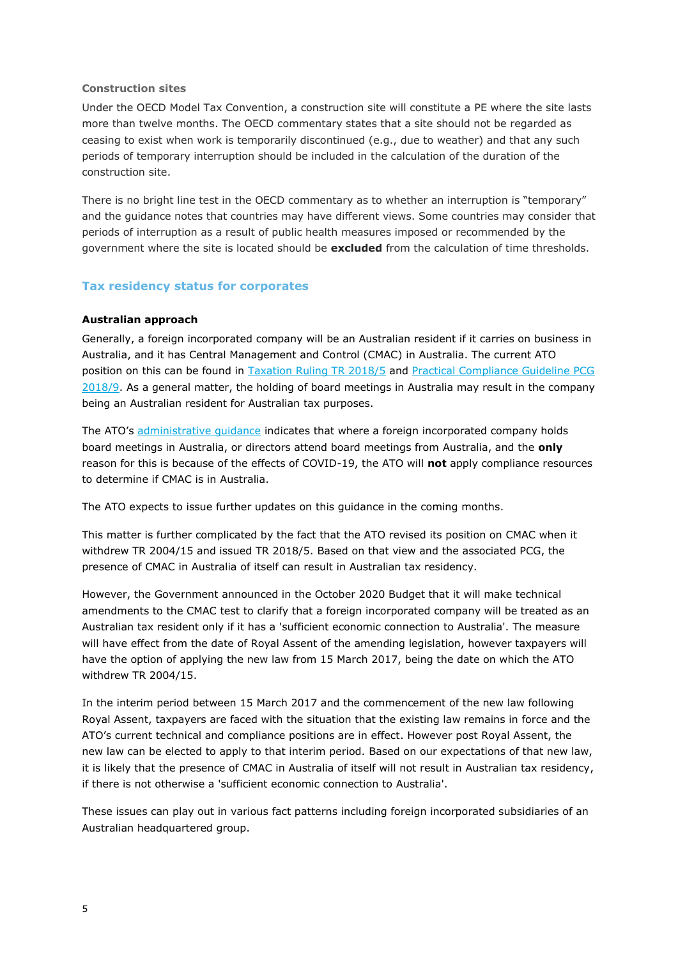# **Construction sites**

Under the OECD Model Tax Convention, a construction site will constitute a PE where the site lasts more than twelve months. The OECD commentary states that a site should not be regarded as ceasing to exist when work is temporarily discontinued (e.g., due to weather) and that any such periods of temporary interruption should be included in the calculation of the duration of the construction site.

There is no bright line test in the OECD commentary as to whether an interruption is "temporary" and the guidance notes that countries may have different views. Some countries may consider that periods of interruption as a result of public health measures imposed or recommended by the government where the site is located should be **excluded** from the calculation of time thresholds.

# **Tax residency status for corporates**

# **Australian approach**

Generally, a foreign incorporated company will be an Australian resident if it carries on business in Australia, and it has Central Management and Control (CMAC) in Australia. The current ATO position on this can be found in [Taxation Ruling TR 2018/5](https://www.ato.gov.au/law/view/document?docid=TXR/TR20185/NAT/ATO/00001) and [Practical Compliance Guideline PCG](https://www.ato.gov.au/law/view/document?DocID=COG/PCG20189/NAT/ATO/00001)  [2018/9.](https://www.ato.gov.au/law/view/document?DocID=COG/PCG20189/NAT/ATO/00001) As a general matter, the holding of board meetings in Australia may result in the company being an Australian resident for Australian tax purposes.

The ATO's [administrative guidance](https://www.ato.gov.au/business/international-tax-for-business/working-out-your-residency/#Companies) indicates that where a foreign incorporated company holds board meetings in Australia, or directors attend board meetings from Australia, and the **only** reason for this is because of the effects of COVID-19, the ATO will **not** apply compliance resources to determine if CMAC is in Australia.

The ATO expects to issue further updates on this guidance in the coming months.

This matter is further complicated by the fact that the ATO revised its position on CMAC when it withdrew TR 2004/15 and issued TR 2018/5. Based on that view and the associated PCG, the presence of CMAC in Australia of itself can result in Australian tax residency.

However, the Government announced in the October 2020 Budget that it will make technical amendments to the CMAC test to clarify that a foreign incorporated company will be treated as an Australian tax resident only if it has a 'sufficient economic connection to Australia'. The measure will have effect from the date of Royal Assent of the amending legislation, however taxpayers will have the option of applying the new law from 15 March 2017, being the date on which the ATO withdrew TR 2004/15.

In the interim period between 15 March 2017 and the commencement of the new law following Royal Assent, taxpayers are faced with the situation that the existing law remains in force and the ATO's current technical and compliance positions are in effect. However post Royal Assent, the new law can be elected to apply to that interim period. Based on our expectations of that new law, it is likely that the presence of CMAC in Australia of itself will not result in Australian tax residency, if there is not otherwise a 'sufficient economic connection to Australia'.

These issues can play out in various fact patterns including foreign incorporated subsidiaries of an Australian headquartered group.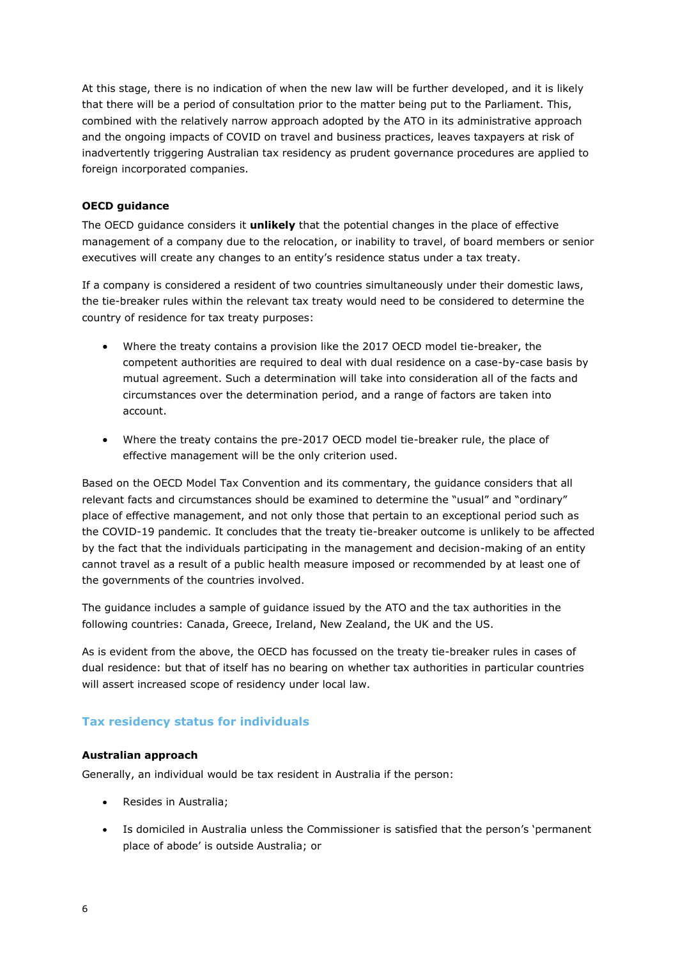At this stage, there is no indication of when the new law will be further developed, and it is likely that there will be a period of consultation prior to the matter being put to the Parliament. This, combined with the relatively narrow approach adopted by the ATO in its administrative approach and the ongoing impacts of COVID on travel and business practices, leaves taxpayers at risk of inadvertently triggering Australian tax residency as prudent governance procedures are applied to foreign incorporated companies.

# **OECD guidance**

The OECD guidance considers it **unlikely** that the potential changes in the place of effective management of a company due to the relocation, or inability to travel, of board members or senior executives will create any changes to an entity's residence status under a tax treaty.

If a company is considered a resident of two countries simultaneously under their domestic laws, the tie-breaker rules within the relevant tax treaty would need to be considered to determine the country of residence for tax treaty purposes:

- Where the treaty contains a provision like the 2017 OECD model tie-breaker, the competent authorities are required to deal with dual residence on a case-by-case basis by mutual agreement. Such a determination will take into consideration all of the facts and circumstances over the determination period, and a range of factors are taken into account.
- Where the treaty contains the pre-2017 OECD model tie-breaker rule, the place of effective management will be the only criterion used.

Based on the OECD Model Tax Convention and its commentary, the guidance considers that all relevant facts and circumstances should be examined to determine the "usual" and "ordinary" place of effective management, and not only those that pertain to an exceptional period such as the COVID-19 pandemic. It concludes that the treaty tie-breaker outcome is unlikely to be affected by the fact that the individuals participating in the management and decision-making of an entity cannot travel as a result of a public health measure imposed or recommended by at least one of the governments of the countries involved.

The guidance includes a sample of guidance issued by the ATO and the tax authorities in the following countries: Canada, Greece, Ireland, New Zealand, the UK and the US.

As is evident from the above, the OECD has focussed on the treaty tie-breaker rules in cases of dual residence: but that of itself has no bearing on whether tax authorities in particular countries will assert increased scope of residency under local law.

# **Tax residency status for individuals**

# **Australian approach**

Generally, an individual would be tax resident in Australia if the person:

- Resides in Australia;
- Is domiciled in Australia unless the Commissioner is satisfied that the person's 'permanent place of abode' is outside Australia; or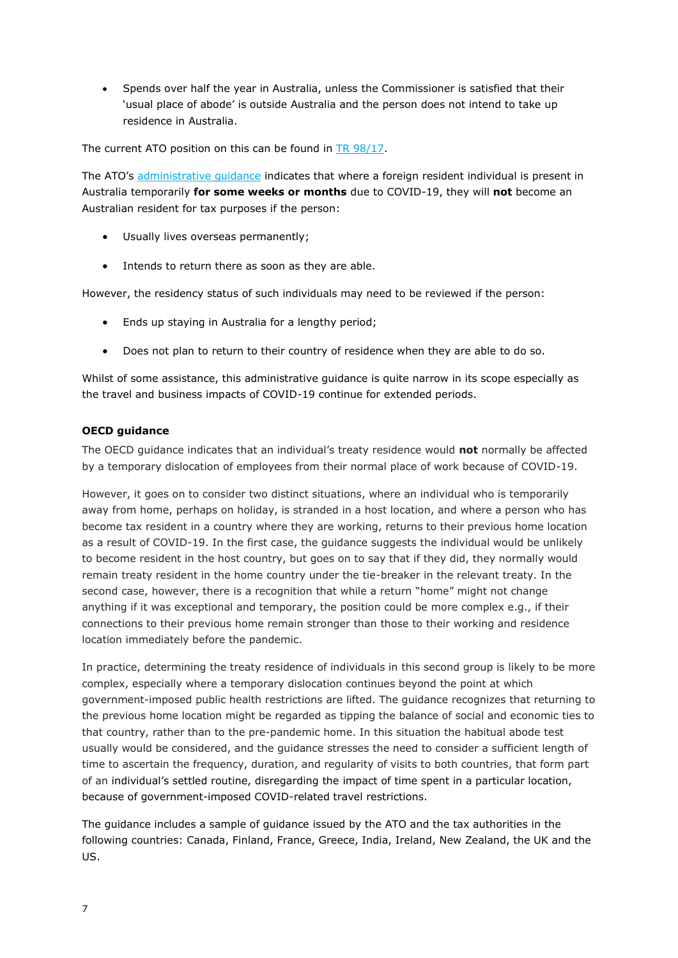• Spends over half the year in Australia, unless the Commissioner is satisfied that their 'usual place of abode' is outside Australia and the person does not intend to take up residence in Australia.

The current ATO position on this can be found in [TR 98/17.](https://www.ato.gov.au/law/view/document?LocID=%22TXR%2FTR9817%2FNAT%2FATO%22&PiT=99991231235958)

The ATO's [administrative guidance](https://www.ato.gov.au/General/COVID-19/Support-for-individuals-and-employees/Residency-and-source-of-income/#:~:text=Change%20of%20tax%20residency%20due%20to%20COVID%2D19,-Whether%20you%20are&text=If%20you%20are%20a%20foreign,soon%20as%20you%20are%20able.) indicates that where a foreign resident individual is present in Australia temporarily **for some weeks or months** due to COVID-19, they will **not** become an Australian resident for tax purposes if the person:

- Usually lives overseas permanently;
- Intends to return there as soon as they are able.

However, the residency status of such individuals may need to be reviewed if the person:

- Ends up staying in Australia for a lengthy period;
- Does not plan to return to their country of residence when they are able to do so.

Whilst of some assistance, this administrative guidance is quite narrow in its scope especially as the travel and business impacts of COVID-19 continue for extended periods.

# **OECD guidance**

The OECD guidance indicates that an individual's treaty residence would **not** normally be affected by a temporary dislocation of employees from their normal place of work because of COVID-19.

However, it goes on to consider two distinct situations, where an individual who is temporarily away from home, perhaps on holiday, is stranded in a host location, and where a person who has become tax resident in a country where they are working, returns to their previous home location as a result of COVID-19. In the first case, the guidance suggests the individual would be unlikely to become resident in the host country, but goes on to say that if they did, they normally would remain treaty resident in the home country under the tie-breaker in the relevant treaty. In the second case, however, there is a recognition that while a return "home" might not change anything if it was exceptional and temporary, the position could be more complex e.g., if their connections to their previous home remain stronger than those to their working and residence location immediately before the pandemic.

In practice, determining the treaty residence of individuals in this second group is likely to be more complex, especially where a temporary dislocation continues beyond the point at which government-imposed public health restrictions are lifted. The guidance recognizes that returning to the previous home location might be regarded as tipping the balance of social and economic ties to that country, rather than to the pre-pandemic home. In this situation the habitual abode test usually would be considered, and the guidance stresses the need to consider a sufficient length of time to ascertain the frequency, duration, and regularity of visits to both countries, that form part of an individual's settled routine, disregarding the impact of time spent in a particular location, because of government-imposed COVID-related travel restrictions.

The guidance includes a sample of guidance issued by the ATO and the tax authorities in the following countries: Canada, Finland, France, Greece, India, Ireland, New Zealand, the UK and the US.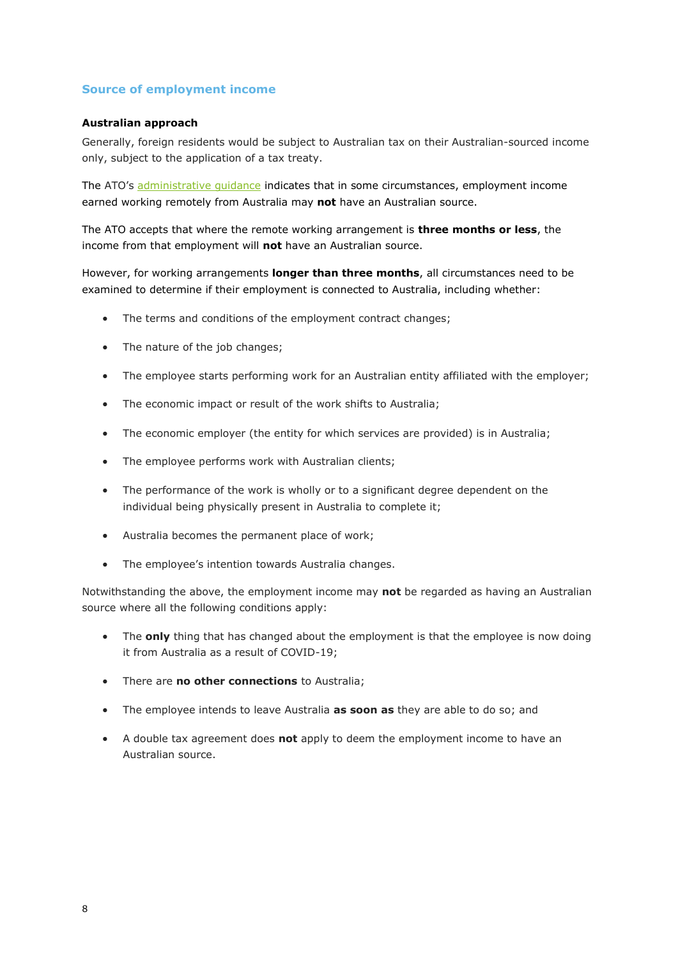# **Source of employment income**

# **Australian approach**

Generally, foreign residents would be subject to Australian tax on their Australian-sourced income only, subject to the application of a tax treaty.

The ATO's [administrative guidance](https://www.ato.gov.au/General/COVID-19/Support-for-individuals-and-employees/Residency-and-source-of-income/#Sourceofemploymentincomeearnedwhileworki) indicates that in some circumstances, employment income earned working remotely from Australia may **not** have an Australian source.

The ATO accepts that where the remote working arrangement is **three months or less**, the income from that employment will **not** have an Australian source.

However, for working arrangements **longer than three months**, all circumstances need to be examined to determine if their employment is connected to Australia, including whether:

- The terms and conditions of the employment contract changes;
- The nature of the job changes;
- The employee starts performing work for an Australian entity affiliated with the employer;
- The economic impact or result of the work shifts to Australia;
- The economic employer (the entity for which services are provided) is in Australia;
- The employee performs work with Australian clients;
- The performance of the work is wholly or to a significant degree dependent on the individual being physically present in Australia to complete it;
- Australia becomes the permanent place of work;
- The employee's intention towards Australia changes.

Notwithstanding the above, the employment income may **not** be regarded as having an Australian source where all the following conditions apply:

- The **only** thing that has changed about the employment is that the employee is now doing it from Australia as a result of COVID-19;
- There are **no other connections** to Australia;
- The employee intends to leave Australia **as soon as** they are able to do so; and
- A double tax agreement does **not** apply to deem the employment income to have an Australian source.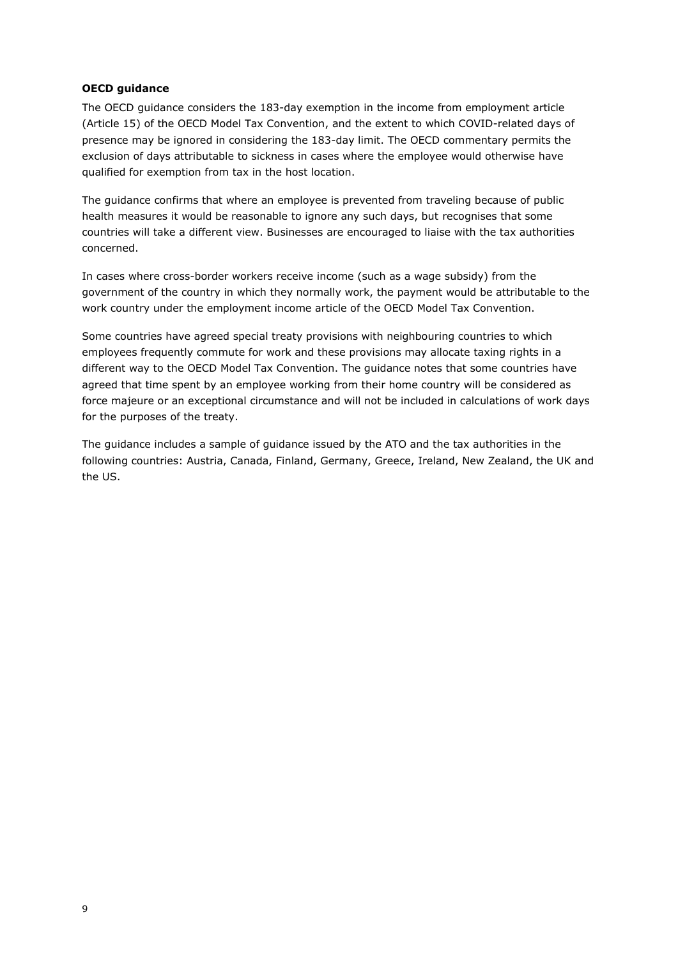# **OECD guidance**

The OECD guidance considers the 183-day exemption in the income from employment article (Article 15) of the OECD Model Tax Convention, and the extent to which COVID-related days of presence may be ignored in considering the 183-day limit. The OECD commentary permits the exclusion of days attributable to sickness in cases where the employee would otherwise have qualified for exemption from tax in the host location.

The guidance confirms that where an employee is prevented from traveling because of public health measures it would be reasonable to ignore any such days, but recognises that some countries will take a different view. Businesses are encouraged to liaise with the tax authorities concerned.

In cases where cross-border workers receive income (such as a wage subsidy) from the government of the country in which they normally work, the payment would be attributable to the work country under the employment income article of the OECD Model Tax Convention.

Some countries have agreed special treaty provisions with neighbouring countries to which employees frequently commute for work and these provisions may allocate taxing rights in a different way to the OECD Model Tax Convention. The guidance notes that some countries have agreed that time spent by an employee working from their home country will be considered as force majeure or an exceptional circumstance and will not be included in calculations of work days for the purposes of the treaty.

The guidance includes a sample of guidance issued by the ATO and the tax authorities in the following countries: Austria, Canada, Finland, Germany, Greece, Ireland, New Zealand, the UK and the US.